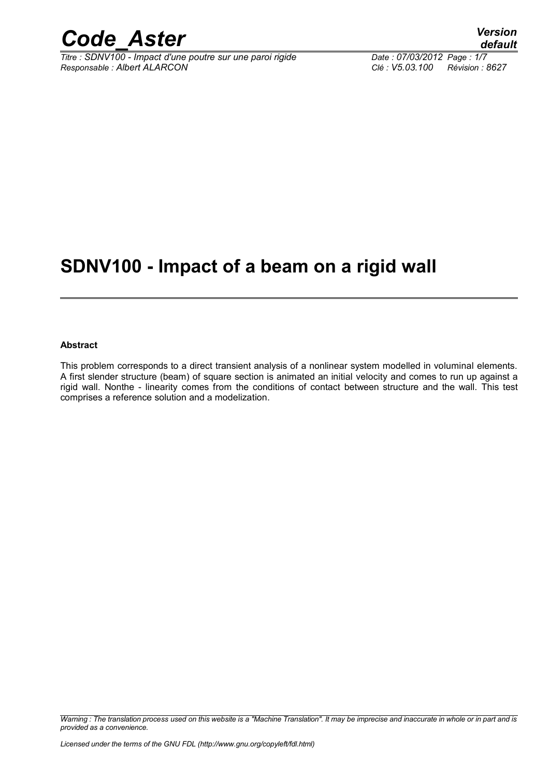

*Titre : SDNV100 - Impact d'une poutre sur une paroi rigide Date : 07/03/2012 Page : 1/7 Responsable : Albert ALARCON Clé : V5.03.100 Révision : 8627*

### **SDNV100 - Impact of a beam on a rigid wall**

#### **Abstract**

This problem corresponds to a direct transient analysis of a nonlinear system modelled in voluminal elements. A first slender structure (beam) of square section is animated an initial velocity and comes to run up against a rigid wall. Nonthe - linearity comes from the conditions of contact between structure and the wall. This test comprises a reference solution and a modelization.

*Warning : The translation process used on this website is a "Machine Translation". It may be imprecise and inaccurate in whole or in part and is provided as a convenience.*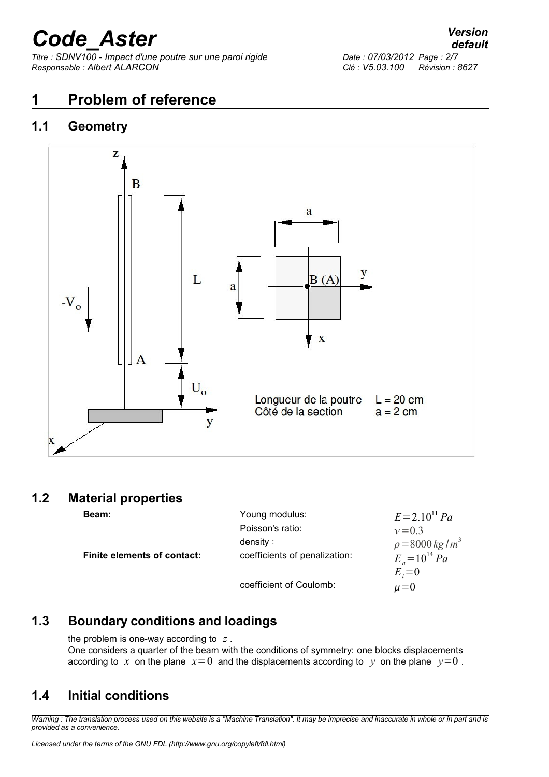*Titre : SDNV100 - Impact d'une poutre sur une paroi rigide Date : 07/03/2012 Page : 2/7 Responsable : Albert ALARCON Clé : V5.03.100 Révision : 8627*

#### **1 Problem of reference**

#### **1.1 Geometry**



#### **1.2 Material properties**

| <b>Beam:</b>                       | Young modulus:                | $E = 2.10^{11} Pa$           |
|------------------------------------|-------------------------------|------------------------------|
|                                    | Poisson's ratio:              | $v = 0.3$                    |
|                                    | density :                     | $\rho = 8000 \text{ kg/m}^3$ |
| <b>Finite elements of contact:</b> | coefficients of penalization: | $E_v = 10^{14} Pa$           |
|                                    |                               | $E_z=0$                      |
|                                    | coefficient of Coulomb:       | $\mu = 0$                    |

#### **1.3 Boundary conditions and loadings**

the problem is one-way according to *z* . One considers a quarter of the beam with the conditions of symmetry: one blocks displacements according to x on the plane  $x=0$  and the displacements according to y on the plane  $y=0$ .

#### **1.4 Initial conditions**

*Warning : The translation process used on this website is a "Machine Translation". It may be imprecise and inaccurate in whole or in part and is provided as a convenience.*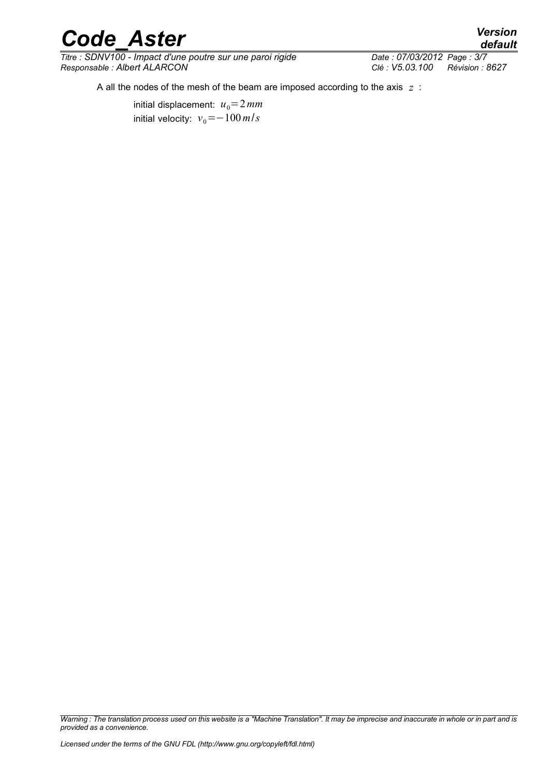*Titre : SDNV100 - Impact d'une poutre sur une paroi rigide Responsable : Albert ALARCON Clé : V5.03.100 Révision : 8627*

A all the nodes of the mesh of the beam are imposed according to the axis *z* :

initial displacement:  $u_0 = 2$  mm initial velocity:  $v_0 = -100$  *m*/*s* 

*Warning : The translation process used on this website is a "Machine Translation". It may be imprecise and inaccurate in whole or in part and is provided as a convenience.*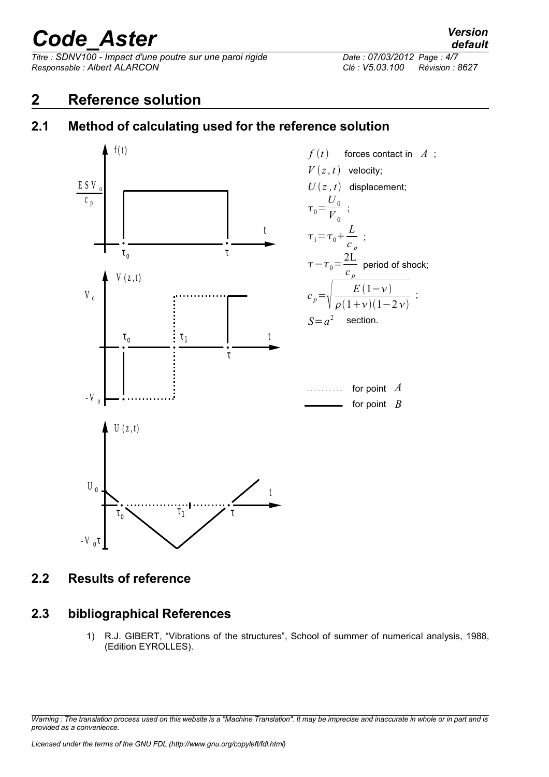*Titre : SDNV100 - Impact d'une poutre sur une paroi rigide Date : 07/03/2012 Page : 4/7 Responsable : Albert ALARCON Clé : V5.03.100 Révision : 8627*

#### **2 Reference solution**

### **2.1 Method of calculating used for the reference solution**



**2.2 Results of reference**

#### **2.3 bibliographical References**

1) R.J. GIBERT, "Vibrations of the structures", School of summer of numerical analysis, 1988, (Edition EYROLLES).

*Warning : The translation process used on this website is a "Machine Translation". It may be imprecise and inaccurate in whole or in part and is provided as a convenience.*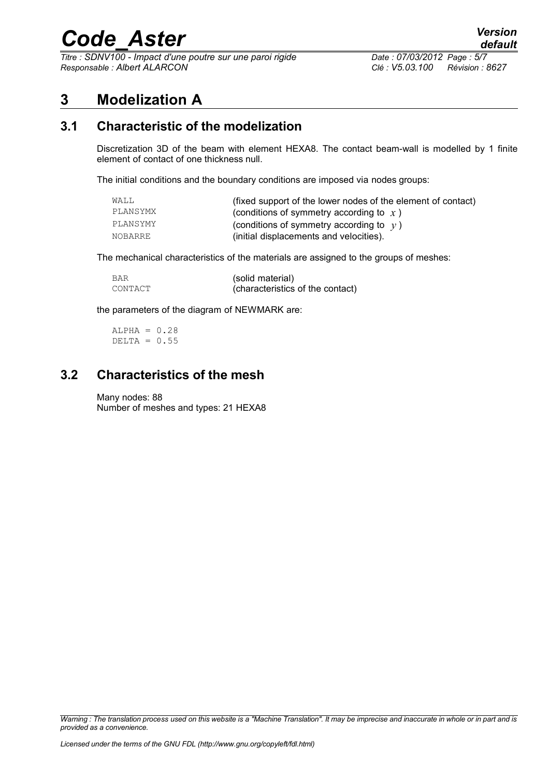$\overline{T}$ itre : SDNV100 - Impact d'une poutre sur une paroi rigide *Responsable : Albert ALARCON Clé : V5.03.100 Révision : 8627*

#### **3 Modelization A**

#### **3.1 Characteristic of the modelization**

Discretization 3D of the beam with element HEXA8. The contact beam-wall is modelled by 1 finite element of contact of one thickness null.

The initial conditions and the boundary conditions are imposed via nodes groups:

| WALL     | (fixed support of the lower nodes of the element of contact) |
|----------|--------------------------------------------------------------|
| PLANSYMX | (conditions of symmetry according to $x$ )                   |
| PLANSYMY | (conditions of symmetry according to $y$ )                   |
| NOBARRE  | (initial displacements and velocities).                      |

The mechanical characteristics of the materials are assigned to the groups of meshes:

| <b>BAR</b> | (solid material)                 |
|------------|----------------------------------|
| CONTACT    | (characteristics of the contact) |

the parameters of the diagram of NEWMARK are:

 $ALPHA = 0.28$ DELTA =  $0.55$ 

#### **3.2 Characteristics of the mesh**

#### Many nodes: 88

Number of meshes and types: 21 HEXA8

*Warning : The translation process used on this website is a "Machine Translation". It may be imprecise and inaccurate in whole or in part and is provided as a convenience.*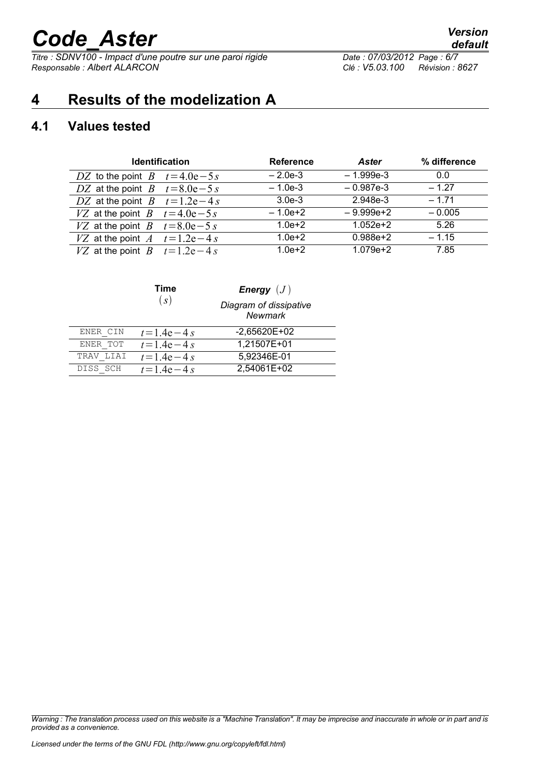*Titre : SDNV100 - Impact d'une poutre sur une paroi rigide Date : 07/03/2012 Page : 6/7 Responsable : Albert ALARCON Clé : V5.03.100 Révision : 8627*

### **4 Results of the modelization A**

#### **4.1 Values tested**

| <b>Identification</b>           | <b>Reference</b> | <b>Aster</b> | % difference |
|---------------------------------|------------------|--------------|--------------|
| DZ to the point $B$ $t=4.0e-5s$ | $-2.0e-3$        | $-1.999e-3$  | 0.0          |
| DZ at the point $B$ $t=8.0e-5s$ | $-1.0e-3$        | $-0.987e-3$  | $-1.27$      |
| DZ at the point $B$ $t=1.2e-4s$ | $3.0e-3$         | 2.948e-3     | $-1.71$      |
| VZ at the point $B$ $t=4.0e-5s$ | $-1.0e+2$        | $-9.999e+2$  | $-0.005$     |
| VZ at the point $B$ $t=8.0e-5s$ | $1.0e + 2$       | $1.052e + 2$ | 5.26         |
| VZ at the point $A$ $t=1.2e-4s$ | $1.0e + 2$       | $0.988e + 2$ | $-1.15$      |
| VZ at the point $B$ $t=1.2e-4s$ | $1.0e + 2$       | $1.079e + 2$ | 7.85         |

|           | Time            | <b>Energy</b> $(J)$               |  |
|-----------|-----------------|-----------------------------------|--|
|           | (s)             | Diagram of dissipative<br>Newmark |  |
| ENER CIN  | $t = 1.4e - 4s$ | $-2,65620E+02$                    |  |
| ENER TOT  | $t = 1.4e - 4s$ | 1,21507E+01                       |  |
| TRAV LIAI | $t = 1.4e - 4s$ | 5,92346E-01                       |  |
| DISS SCH  | $t = 1.4e - 4s$ | 2,54061E+02                       |  |

*Warning : The translation process used on this website is a "Machine Translation". It may be imprecise and inaccurate in whole or in part and is provided as a convenience.*